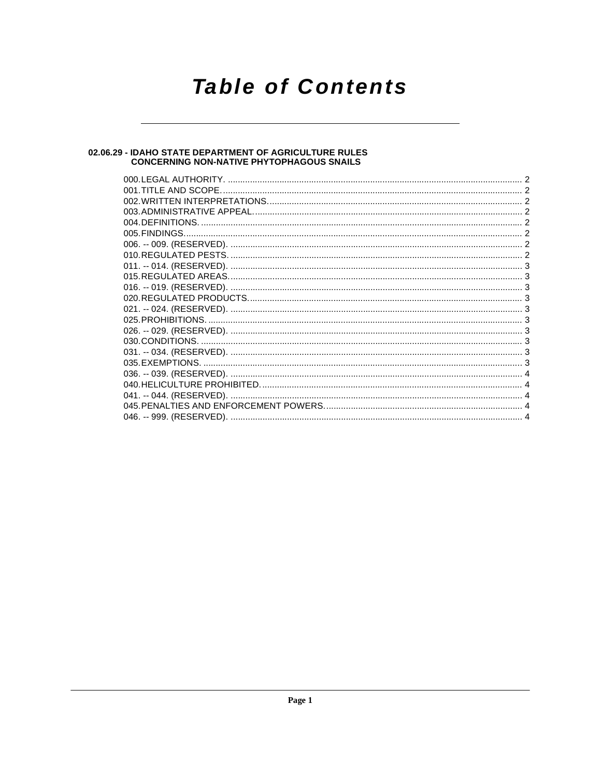## **Table of Contents**

### 02.06.29 - IDAHO STATE DEPARTMENT OF AGRICULTURE RULES<br>CONCERNING NON-NATIVE PHYTOPHAGOUS SNAILS

| 001.TITLE AND SCOPE. |  |
|----------------------|--|
|                      |  |
|                      |  |
|                      |  |
|                      |  |
|                      |  |
|                      |  |
|                      |  |
|                      |  |
|                      |  |
|                      |  |
|                      |  |
|                      |  |
|                      |  |
|                      |  |
|                      |  |
|                      |  |
|                      |  |
|                      |  |
|                      |  |
|                      |  |
|                      |  |
|                      |  |
|                      |  |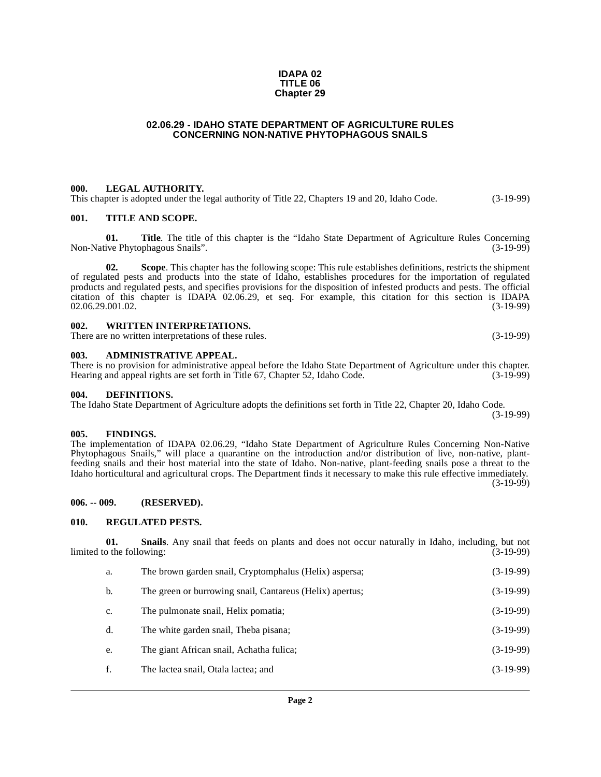#### **IDAPA 02 TITLE 06 Chapter 29**

#### **02.06.29 - IDAHO STATE DEPARTMENT OF AGRICULTURE RULES CONCERNING NON-NATIVE PHYTOPHAGOUS SNAILS**

#### <span id="page-1-1"></span><span id="page-1-0"></span>**000. LEGAL AUTHORITY.**

This chapter is adopted under the legal authority of Title 22, Chapters 19 and 20, Idaho Code. (3-19-99)

#### <span id="page-1-2"></span>**001. TITLE AND SCOPE.**

**01. Title**. The title of this chapter is the "Idaho State Department of Agriculture Rules Concerning ive Phytophagous Snails". (3-19-99) Non-Native Phytophagous Snails".

**02. Scope**. This chapter has the following scope: This rule establishes definitions, restricts the shipment of regulated pests and products into the state of Idaho, establishes procedures for the importation of regulated products and regulated pests, and specifies provisions for the disposition of infested products and pests. The official citation of this chapter is IDAPA 02.06.29, et seq. For example, this citation for this section is IDAPA 02.06.29.001.02.

#### <span id="page-1-3"></span>**002. WRITTEN INTERPRETATIONS.**

There are no written interpretations of these rules. (3-19-99)

#### <span id="page-1-4"></span>**003. ADMINISTRATIVE APPEAL.**

There is no provision for administrative appeal before the Idaho State Department of Agriculture under this chapter. Hearing and appeal rights are set forth in Title 67, Chapter 52, Idaho Code. (3-19-99)

#### <span id="page-1-9"></span><span id="page-1-5"></span>**004. DEFINITIONS.**

The Idaho State Department of Agriculture adopts the definitions set forth in Title 22, Chapter 20, Idaho Code.

#### <span id="page-1-10"></span><span id="page-1-6"></span>**005. FINDINGS.**

The implementation of IDAPA 02.06.29, "Idaho State Department of Agriculture Rules Concerning Non-Native Phytophagous Snails," will place a quarantine on the introduction and/or distribution of live, non-native, plantfeeding snails and their host material into the state of Idaho. Non-native, plant-feeding snails pose a threat to the Idaho horticultural and agricultural crops. The Department finds it necessary to make this rule effective immediately. (3-19-99)

#### <span id="page-1-7"></span>**006. -- 009. (RESERVED).**

#### <span id="page-1-11"></span><span id="page-1-8"></span>**010. REGULATED PESTS.**

**01. Snails**. Any snail that feeds on plants and does not occur naturally in Idaho, including, but not limited to the following: (3-19-99)

- <span id="page-1-12"></span>a. The brown garden snail, Cryptomphalus (Helix) aspersa; (3-19-99)
- b. The green or burrowing snail, Cantareus (Helix) apertus; (3-19-99) (3-19-99)
- c. The pulmonate snail, Helix pomatia; (3-19-99)
- d. The white garden snail, Theba pisana; (3-19-99)
- e. The giant African snail, Achatha fulica; (3-19-99)
- f. The lactea snail, Otala lactea; and (3-19-99)

(3-19-99)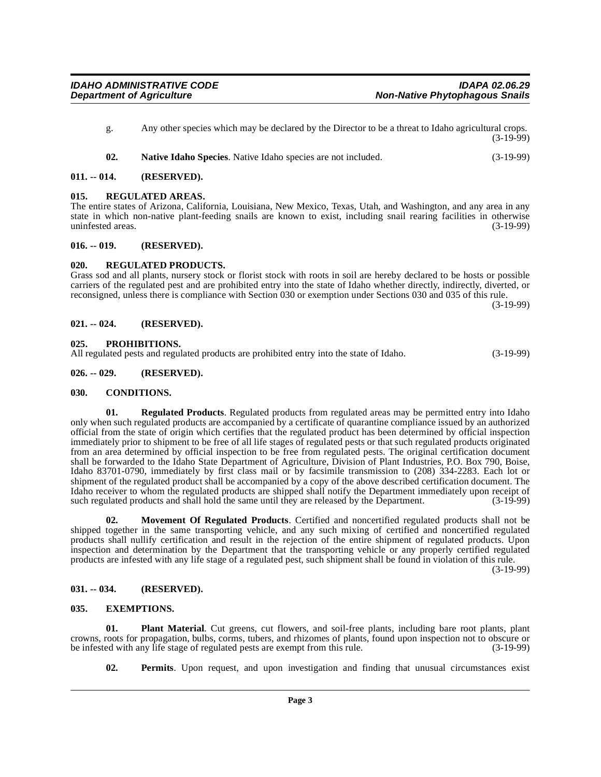- g. Any other species which may be declared by the Director to be a threat to Idaho agricultural crops. (3-19-99)
- <span id="page-2-17"></span><span id="page-2-13"></span>**02. Native Idaho Species**. Native Idaho species are not included. (3-19-99)

#### <span id="page-2-0"></span>**011. -- 014. (RESERVED).**

#### <span id="page-2-1"></span>**015. REGULATED AREAS.**

The entire states of Arizona, California, Louisiana, New Mexico, Texas, Utah, and Washington, and any area in any state in which non-native plant-feeding snails are known to exist, including snail rearing facilities in otherwise<br>uninfested areas. (3-19-99) uninfested areas.

#### <span id="page-2-2"></span>**016. -- 019. (RESERVED).**

#### <span id="page-2-18"></span><span id="page-2-3"></span>**020. REGULATED PRODUCTS.**

Grass sod and all plants, nursery stock or florist stock with roots in soil are hereby declared to be hosts or possible carriers of the regulated pest and are prohibited entry into the state of Idaho whether directly, indirectly, diverted, or reconsigned, unless there is compliance with Section 030 or exemption under Sections 030 and 035 of this rule. (3-19-99)

<span id="page-2-4"></span>**021. -- 024. (RESERVED).**

#### <span id="page-2-16"></span><span id="page-2-5"></span>**025. PROHIBITIONS.**

All regulated pests and regulated products are prohibited entry into the state of Idaho. (3-19-99)

#### <span id="page-2-6"></span>**026. -- 029. (RESERVED).**

#### <span id="page-2-10"></span><span id="page-2-7"></span>**030. CONDITIONS.**

<span id="page-2-19"></span>**01. Regulated Products**. Regulated products from regulated areas may be permitted entry into Idaho only when such regulated products are accompanied by a certificate of quarantine compliance issued by an authorized official from the state of origin which certifies that the regulated product has been determined by official inspection immediately prior to shipment to be free of all life stages of regulated pests or that such regulated products originated from an area determined by official inspection to be free from regulated pests. The original certification document shall be forwarded to the Idaho State Department of Agriculture, Division of Plant Industries, P.O. Box 790, Boise, Idaho 83701-0790, immediately by first class mail or by facsimile transmission to (208) 334-2283. Each lot or shipment of the regulated product shall be accompanied by a copy of the above described certification document. The Idaho receiver to whom the regulated products are shipped shall notify the Department immediately upon receipt of such regulated products and shall hold the same until they are released by the Department. (3-19-99) such regulated products and shall hold the same until they are released by the Department.

<span id="page-2-12"></span>**02. Movement Of Regulated Products**. Certified and noncertified regulated products shall not be shipped together in the same transporting vehicle, and any such mixing of certified and noncertified regulated products shall nullify certification and result in the rejection of the entire shipment of regulated products. Upon inspection and determination by the Department that the transporting vehicle or any properly certified regulated products are infested with any life stage of a regulated pest, such shipment shall be found in violation of this rule.

(3-19-99)

#### <span id="page-2-8"></span>**031. -- 034. (RESERVED).**

#### <span id="page-2-11"></span><span id="page-2-9"></span>**035. EXEMPTIONS.**

**01. Plant Material**. Cut greens, cut flowers, and soil-free plants, including bare root plants, plant crowns, roots for propagation, bulbs, corms, tubers, and rhizomes of plants, found upon inspection not to obscure or be infested with any life stage of regulated pests are exempt from this rule.

<span id="page-2-15"></span><span id="page-2-14"></span>**02. Permits**. Upon request, and upon investigation and finding that unusual circumstances exist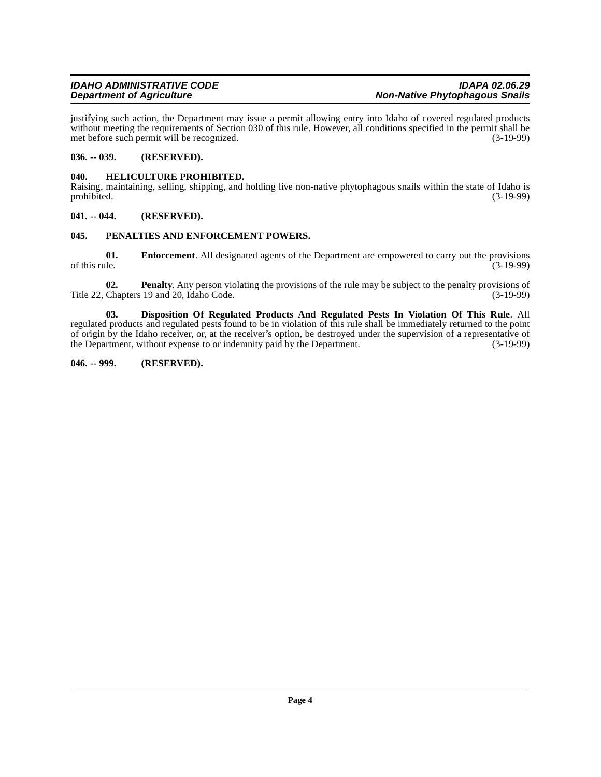justifying such action, the Department may issue a permit allowing entry into Idaho of covered regulated products without meeting the requirements of Section 030 of this rule. However, all conditions specified in the permit shall be met before such permit will be recognized. (3-19-99) met before such permit will be recognized.

#### <span id="page-3-0"></span>**036. -- 039. (RESERVED).**

#### <span id="page-3-7"></span><span id="page-3-1"></span>**040. HELICULTURE PROHIBITED.**

Raising, maintaining, selling, shipping, and holding live non-native phytophagous snails within the state of Idaho is prohibited. (3-19-99) prohibited. (3-19-99)

#### <span id="page-3-2"></span>**041. -- 044. (RESERVED).**

#### <span id="page-3-8"></span><span id="page-3-3"></span>**045. PENALTIES AND ENFORCEMENT POWERS.**

<span id="page-3-6"></span>**01. Enforcement**. All designated agents of the Department are empowered to carry out the provisions of this rule. (3-19-99) of this rule.  $(3-19-99)$ 

<span id="page-3-9"></span>**02. Penalty**. Any person violating the provisions of the rule may be subject to the penalty provisions of Title 22, Chapters 19 and 20, Idaho Code. (3-19-99)

<span id="page-3-5"></span>**03. Disposition Of Regulated Products And Regulated Pests In Violation Of This Rule**. All regulated products and regulated pests found to be in violation of this rule shall be immediately returned to the point of origin by the Idaho receiver, or, at the receiver's option, be destroyed under the supervision of a representative of the Department, without expense to or indemnity paid by the Department. (3-19-99) the Department, without expense to or indemnity paid by the Department.

#### <span id="page-3-4"></span>**046. -- 999. (RESERVED).**